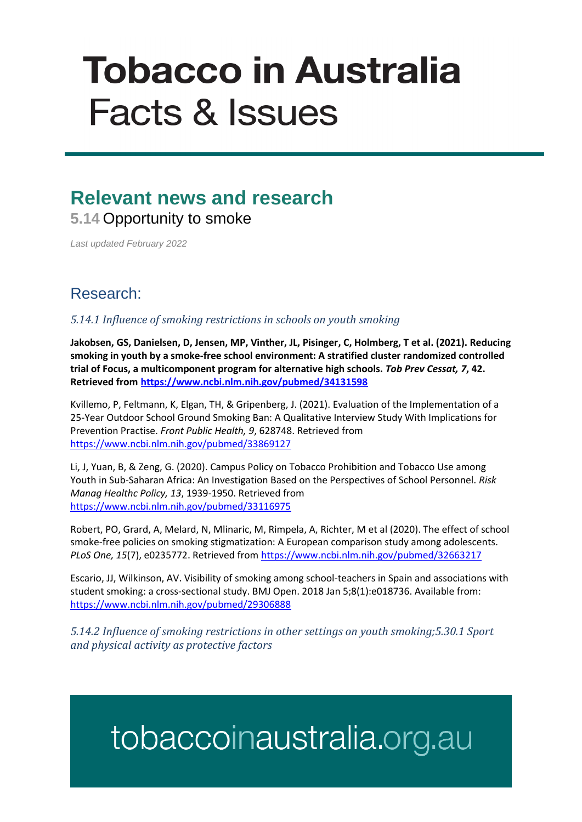# **Tobacco in Australia Facts & Issues**

### **Relevant news and research 5.14** Opportunity to smoke

*Last updated February 2022*

#### Research:

*5.14.1 Influence of smoking restrictions in schools on youth smoking* 

**Jakobsen, GS, Danielsen, D, Jensen, MP, Vinther, JL, Pisinger, C, Holmberg, T et al. (2021). Reducing smoking in youth by a smoke-free school environment: A stratified cluster randomized controlled trial of Focus, a multicomponent program for alternative high schools.** *Tob Prev Cessat, 7***, 42. Retrieved from<https://www.ncbi.nlm.nih.gov/pubmed/34131598>**

Kvillemo, P, Feltmann, K, Elgan, TH, & Gripenberg, J. (2021). Evaluation of the Implementation of a 25-Year Outdoor School Ground Smoking Ban: A Qualitative Interview Study With Implications for Prevention Practise. *Front Public Health, 9*, 628748. Retrieved from <https://www.ncbi.nlm.nih.gov/pubmed/33869127>

Li, J, Yuan, B, & Zeng, G. (2020). Campus Policy on Tobacco Prohibition and Tobacco Use among Youth in Sub-Saharan Africa: An Investigation Based on the Perspectives of School Personnel. *Risk Manag Healthc Policy, 13*, 1939-1950. Retrieved from <https://www.ncbi.nlm.nih.gov/pubmed/33116975>

Robert, PO, Grard, A, Melard, N, Mlinaric, M, Rimpela, A, Richter, M et al (2020). The effect of school smoke-free policies on smoking stigmatization: A European comparison study among adolescents. *PLoS One, 15*(7), e0235772. Retrieved from<https://www.ncbi.nlm.nih.gov/pubmed/32663217>

Escario, JJ, Wilkinson, AV. Visibility of smoking among school-teachers in Spain and associations with student smoking: a cross-sectional study. BMJ Open. 2018 Jan 5;8(1):e018736. Available from: <https://www.ncbi.nlm.nih.gov/pubmed/29306888>

*5.14.2 Influence of smoking restrictions in other settings on youth smoking;5.30.1 Sport and physical activity as protective factors*

## tobaccoinaustralia.org.au